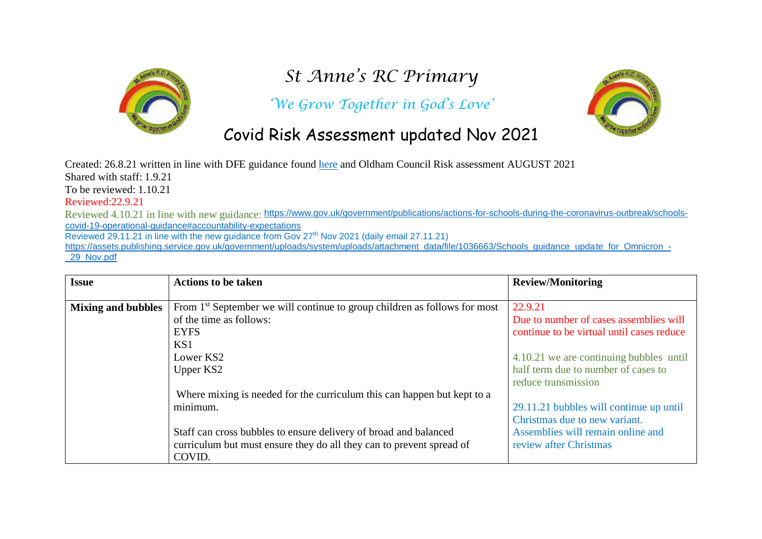

## *St Anne's RC Primary*

*'We Grow Together in God's Love'*



## Covid Risk Assessment updated Nov 2021

Created: 26.8.21 written in line with DFE guidance found [here](https://www.gov.uk/government/publications/actions-for-schools-during-the-coronavirus-outbreak/schools-covid-19-operational-guidance) and Oldham Council Risk assessment AUGUST 2021 Shared with staff: 1.9.21 To be reviewed: 1.10.21

## Reviewed:22.9.21

Reviewed 4.10.21 in line with new guidance: [https://www.gov.uk/government/publications/actions-for-schools-during-the-coronavirus-outbreak/schools](https://www.gov.uk/government/publications/actions-for-schools-during-the-coronavirus-outbreak/schools-covid-19-operational-guidance#accountability-expectations)[covid-19-operational-guidance#accountability-expectations](https://www.gov.uk/government/publications/actions-for-schools-during-the-coronavirus-outbreak/schools-covid-19-operational-guidance#accountability-expectations)

Reviewed 29.11.21 in line with the new guidance from Gov 27<sup>th</sup> Nov 2021 (daily email 27.11.21)

[https://assets.publishing.service.gov.uk/government/uploads/system/uploads/attachment\\_data/file/1036663/Schools\\_guidance\\_update\\_for\\_Omnicron\\_-](https://assets.publishing.service.gov.uk/government/uploads/system/uploads/attachment_data/file/1036663/Schools_guidance_update_for_Omnicron_-_29_Nov.pdf) 29 Nov.pdf

| <b>Issue</b>              | <b>Actions to be taken</b>                                                            | <b>Review/Monitoring</b>                  |
|---------------------------|---------------------------------------------------------------------------------------|-------------------------------------------|
|                           |                                                                                       |                                           |
| <b>Mixing and bubbles</b> | From 1 <sup>st</sup> September we will continue to group children as follows for most | 22.9.21                                   |
|                           | of the time as follows:                                                               | Due to number of cases assemblies will    |
|                           | <b>EYFS</b>                                                                           | continue to be virtual until cases reduce |
|                           | KS1                                                                                   |                                           |
|                           | Lower KS2                                                                             | 4.10.21 we are continuing bubbles until   |
|                           | Upper KS2                                                                             | half term due to number of cases to       |
|                           |                                                                                       | reduce transmission                       |
|                           | Where mixing is needed for the curriculum this can happen but kept to a               |                                           |
|                           | minimum.                                                                              | 29.11.21 bubbles will continue up until   |
|                           |                                                                                       | Christmas due to new variant.             |
|                           | Staff can cross bubbles to ensure delivery of broad and balanced                      | Assemblies will remain online and         |
|                           | curriculum but must ensure they do all they can to prevent spread of                  | review after Christmas                    |
|                           | COVID.                                                                                |                                           |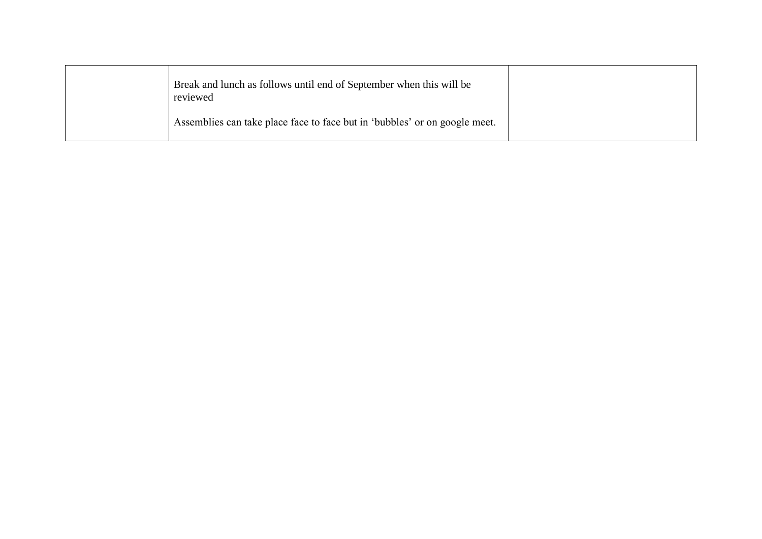| Break and lunch as follows until end of September when this will be<br>reviewed |  |
|---------------------------------------------------------------------------------|--|
| Assemblies can take place face to face but in 'bubbles' or on google meet.      |  |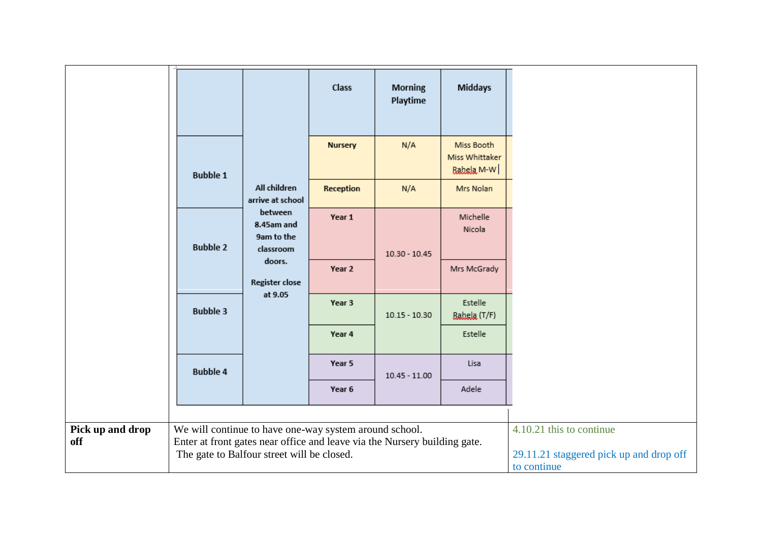|                         |                                                                                                                                     |                                                  | Class<br><b>Nursery</b> | <b>Morning</b><br>Playtime<br>N/A | <b>Middays</b><br>Miss Booth<br>Miss Whittaker |                                                                                    |
|-------------------------|-------------------------------------------------------------------------------------------------------------------------------------|--------------------------------------------------|-------------------------|-----------------------------------|------------------------------------------------|------------------------------------------------------------------------------------|
|                         | <b>Bubble 1</b>                                                                                                                     | All children<br>arrive at school                 | Reception               | N/A                               | Babela M-W<br>Mrs Nolan                        |                                                                                    |
|                         | <b>Bubble 2</b>                                                                                                                     | between<br>8.45am and<br>9am to the<br>classroom | Year 1                  | $10.30 - 10.45$                   | Michelle<br>Nicola                             |                                                                                    |
|                         |                                                                                                                                     | doors.<br>Register close                         | Year 2                  |                                   | Mrs McGrady                                    |                                                                                    |
|                         | <b>Bubble 3</b>                                                                                                                     | at 9.05                                          | Year 3                  | $10.15 - 10.30$                   | Estelle<br>Rahela (T/F)                        |                                                                                    |
|                         |                                                                                                                                     |                                                  | Year 4                  |                                   | Estelle                                        |                                                                                    |
|                         | <b>Bubble 4</b>                                                                                                                     |                                                  | Year 5                  | $10.45 - 11.00$                   | Lisa                                           |                                                                                    |
|                         |                                                                                                                                     |                                                  | Year 6                  |                                   | Adele                                          |                                                                                    |
| Pick up and drop<br>off | We will continue to have one-way system around school.<br>Enter at front gates near office and leave via the Nursery building gate. | The gate to Balfour street will be closed.       |                         |                                   |                                                | 4.10.21 this to continue<br>29.11.21 staggered pick up and drop off<br>to continue |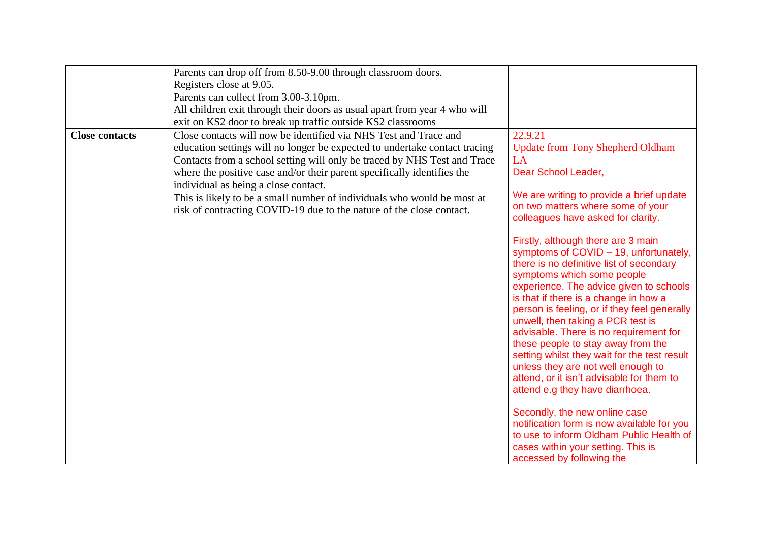|                       | Parents can drop off from 8.50-9.00 through classroom doors.                                                                                    |                                                                                    |
|-----------------------|-------------------------------------------------------------------------------------------------------------------------------------------------|------------------------------------------------------------------------------------|
|                       | Registers close at 9.05.                                                                                                                        |                                                                                    |
|                       | Parents can collect from 3.00-3.10pm.                                                                                                           |                                                                                    |
|                       | All children exit through their doors as usual apart from year 4 who will                                                                       |                                                                                    |
|                       | exit on KS2 door to break up traffic outside KS2 classrooms                                                                                     |                                                                                    |
| <b>Close contacts</b> | Close contacts will now be identified via NHS Test and Trace and                                                                                | 22.9.21                                                                            |
|                       | education settings will no longer be expected to undertake contact tracing                                                                      | <b>Update from Tony Shepherd Oldham</b>                                            |
|                       | Contacts from a school setting will only be traced by NHS Test and Trace                                                                        | LA<br>Dear School Leader,                                                          |
|                       | where the positive case and/or their parent specifically identifies the                                                                         |                                                                                    |
|                       | individual as being a close contact.                                                                                                            | We are writing to provide a brief update                                           |
|                       | This is likely to be a small number of individuals who would be most at<br>risk of contracting COVID-19 due to the nature of the close contact. | on two matters where some of your                                                  |
|                       |                                                                                                                                                 | colleagues have asked for clarity.                                                 |
|                       |                                                                                                                                                 |                                                                                    |
|                       |                                                                                                                                                 | Firstly, although there are 3 main                                                 |
|                       |                                                                                                                                                 | symptoms of COVID - 19, unfortunately,                                             |
|                       |                                                                                                                                                 | there is no definitive list of secondary<br>symptoms which some people             |
|                       |                                                                                                                                                 | experience. The advice given to schools                                            |
|                       |                                                                                                                                                 | is that if there is a change in how a                                              |
|                       |                                                                                                                                                 | person is feeling, or if they feel generally                                       |
|                       |                                                                                                                                                 | unwell, then taking a PCR test is                                                  |
|                       |                                                                                                                                                 | advisable. There is no requirement for                                             |
|                       |                                                                                                                                                 | these people to stay away from the                                                 |
|                       |                                                                                                                                                 | setting whilst they wait for the test result<br>unless they are not well enough to |
|                       |                                                                                                                                                 | attend, or it isn't advisable for them to                                          |
|                       |                                                                                                                                                 | attend e.g they have diarrhoea.                                                    |
|                       |                                                                                                                                                 |                                                                                    |
|                       |                                                                                                                                                 | Secondly, the new online case                                                      |
|                       |                                                                                                                                                 | notification form is now available for you                                         |
|                       |                                                                                                                                                 | to use to inform Oldham Public Health of                                           |
|                       |                                                                                                                                                 | cases within your setting. This is                                                 |
|                       |                                                                                                                                                 | accessed by following the                                                          |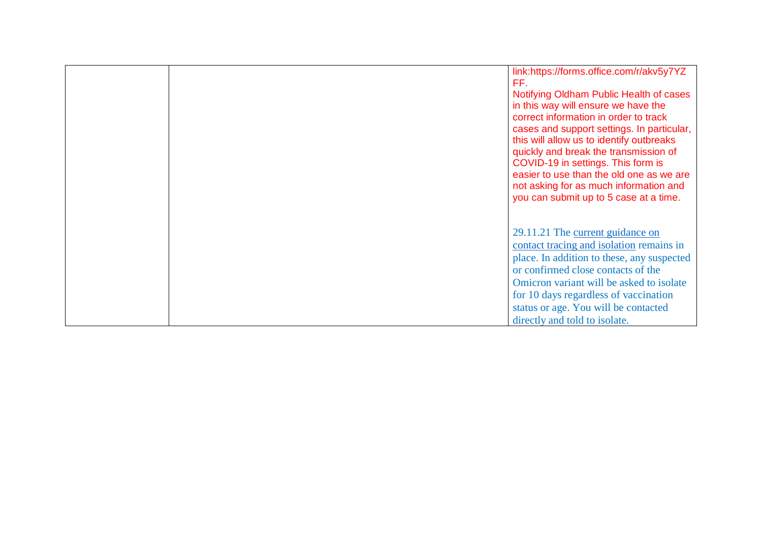|  | link:https://forms.office.com/r/akv5y7YZ<br>FF.<br>Notifying Oldham Public Health of cases<br>in this way will ensure we have the<br>correct information in order to track<br>cases and support settings. In particular,<br>this will allow us to identify outbreaks<br>quickly and break the transmission of<br>COVID-19 in settings. This form is<br>easier to use than the old one as we are<br>not asking for as much information and<br>you can submit up to 5 case at a time. |
|--|-------------------------------------------------------------------------------------------------------------------------------------------------------------------------------------------------------------------------------------------------------------------------------------------------------------------------------------------------------------------------------------------------------------------------------------------------------------------------------------|
|  | 29.11.21 The current guidance on<br>contact tracing and isolation remains in<br>place. In addition to these, any suspected<br>or confirmed close contacts of the<br>Omicron variant will be asked to isolate<br>for 10 days regardless of vaccination<br>status or age. You will be contacted<br>directly and told to isolate.                                                                                                                                                      |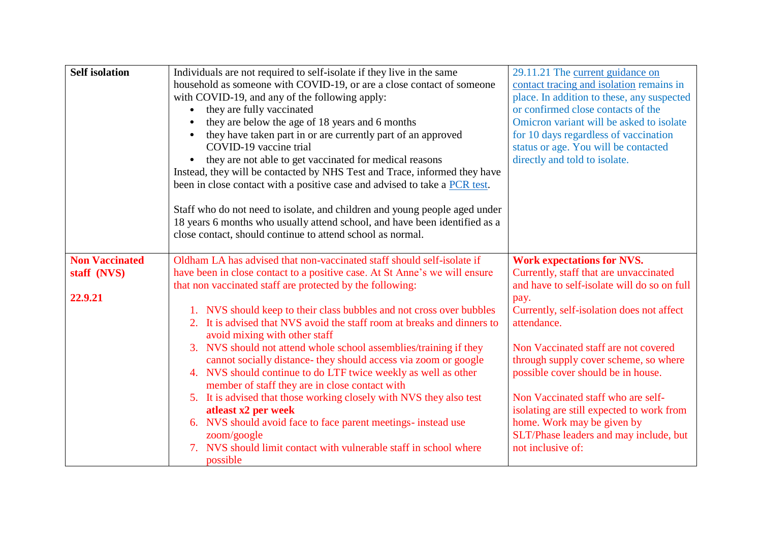| <b>Self</b> isolation                           | Individuals are not required to self-isolate if they live in the same<br>household as someone with COVID-19, or are a close contact of someone<br>with COVID-19, and any of the following apply:<br>they are fully vaccinated<br>they are below the age of 18 years and 6 months<br>they have taken part in or are currently part of an approved<br>COVID-19 vaccine trial<br>they are not able to get vaccinated for medical reasons<br>Instead, they will be contacted by NHS Test and Trace, informed they have<br>been in close contact with a positive case and advised to take a PCR test.<br>Staff who do not need to isolate, and children and young people aged under<br>18 years 6 months who usually attend school, and have been identified as a<br>close contact, should continue to attend school as normal.                                                                                                       | 29.11.21 The current guidance on<br>contact tracing and isolation remains in<br>place. In addition to these, any suspected<br>or confirmed close contacts of the<br>Omicron variant will be asked to isolate<br>for 10 days regardless of vaccination<br>status or age. You will be contacted<br>directly and told to isolate.                                                                                                                                                                        |
|-------------------------------------------------|----------------------------------------------------------------------------------------------------------------------------------------------------------------------------------------------------------------------------------------------------------------------------------------------------------------------------------------------------------------------------------------------------------------------------------------------------------------------------------------------------------------------------------------------------------------------------------------------------------------------------------------------------------------------------------------------------------------------------------------------------------------------------------------------------------------------------------------------------------------------------------------------------------------------------------|-------------------------------------------------------------------------------------------------------------------------------------------------------------------------------------------------------------------------------------------------------------------------------------------------------------------------------------------------------------------------------------------------------------------------------------------------------------------------------------------------------|
| <b>Non Vaccinated</b><br>staff (NVS)<br>22.9.21 | Oldham LA has advised that non-vaccinated staff should self-isolate if<br>have been in close contact to a positive case. At St Anne's we will ensure<br>that non vaccinated staff are protected by the following:<br>1. NVS should keep to their class bubbles and not cross over bubbles<br>2. It is advised that NVS avoid the staff room at breaks and dinners to<br>avoid mixing with other staff<br>3. NVS should not attend whole school assemblies/training if they<br>cannot socially distance- they should access via zoom or google<br>4. NVS should continue to do LTF twice weekly as well as other<br>member of staff they are in close contact with<br>5. It is advised that those working closely with NVS they also test<br>atleast x2 per week<br>6. NVS should avoid face to face parent meetings- instead use<br>zoom/google<br>7. NVS should limit contact with vulnerable staff in school where<br>possible | <b>Work expectations for NVS.</b><br>Currently, staff that are unvaccinated<br>and have to self-isolate will do so on full<br>pay.<br>Currently, self-isolation does not affect<br>attendance.<br>Non Vaccinated staff are not covered<br>through supply cover scheme, so where<br>possible cover should be in house.<br>Non Vaccinated staff who are self-<br>isolating are still expected to work from<br>home. Work may be given by<br>SLT/Phase leaders and may include, but<br>not inclusive of: |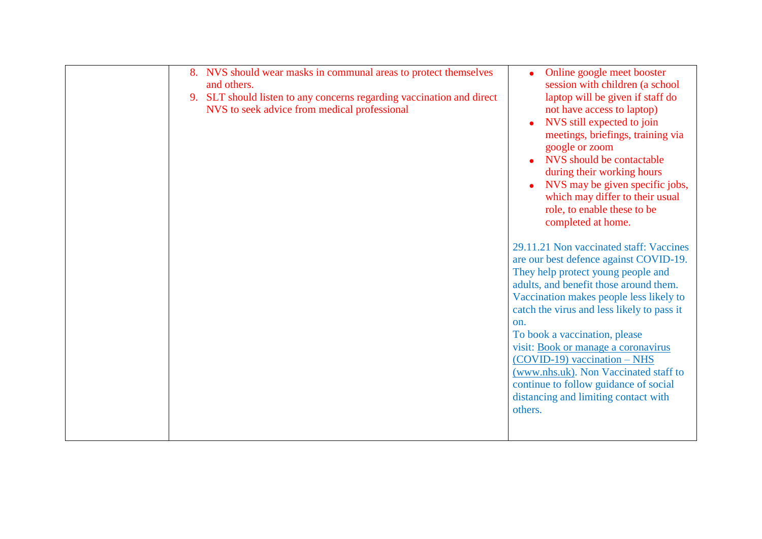|  | 8. NVS should wear masks in communal areas to protect themselves<br>and others.<br>9. SLT should listen to any concerns regarding vaccination and direct<br>NVS to seek advice from medical professional | Online google meet booster<br>session with children (a school<br>laptop will be given if staff do<br>not have access to laptop)<br>NVS still expected to join<br>meetings, briefings, training via<br>google or zoom<br>NVS should be contactable<br>during their working hours<br>NVS may be given specific jobs,<br>which may differ to their usual<br>role, to enable these to be<br>completed at home.<br>29.11.21 Non vaccinated staff: Vaccines<br>are our best defence against COVID-19.<br>They help protect young people and<br>adults, and benefit those around them.<br>Vaccination makes people less likely to<br>catch the virus and less likely to pass it<br>on.<br>To book a vaccination, please<br>visit: Book or manage a coronavirus<br>$(COVID-19)$ vaccination – NHS<br>(www.nhs.uk). Non Vaccinated staff to<br>continue to follow guidance of social<br>distancing and limiting contact with<br>others. |
|--|----------------------------------------------------------------------------------------------------------------------------------------------------------------------------------------------------------|--------------------------------------------------------------------------------------------------------------------------------------------------------------------------------------------------------------------------------------------------------------------------------------------------------------------------------------------------------------------------------------------------------------------------------------------------------------------------------------------------------------------------------------------------------------------------------------------------------------------------------------------------------------------------------------------------------------------------------------------------------------------------------------------------------------------------------------------------------------------------------------------------------------------------------|
|--|----------------------------------------------------------------------------------------------------------------------------------------------------------------------------------------------------------|--------------------------------------------------------------------------------------------------------------------------------------------------------------------------------------------------------------------------------------------------------------------------------------------------------------------------------------------------------------------------------------------------------------------------------------------------------------------------------------------------------------------------------------------------------------------------------------------------------------------------------------------------------------------------------------------------------------------------------------------------------------------------------------------------------------------------------------------------------------------------------------------------------------------------------|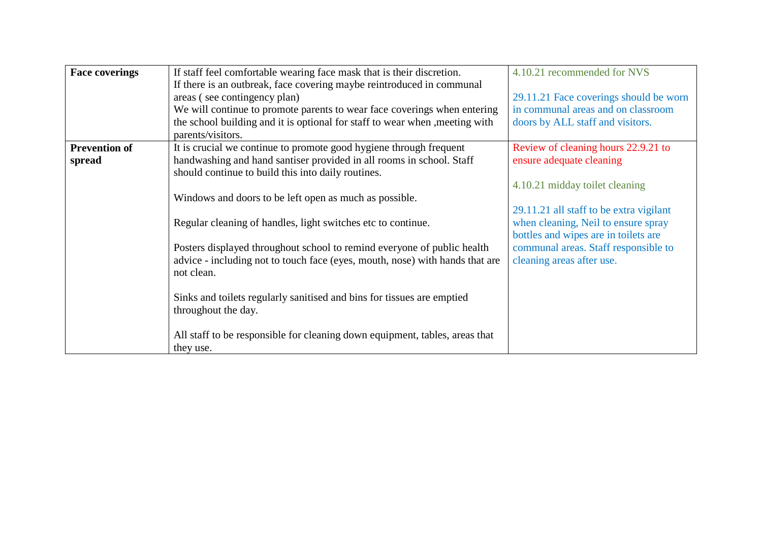| <b>Face coverings</b> | If staff feel comfortable wearing face mask that is their discretion.        | 4.10.21 recommended for NVS             |
|-----------------------|------------------------------------------------------------------------------|-----------------------------------------|
|                       | If there is an outbreak, face covering maybe reintroduced in communal        |                                         |
|                       | areas (see contingency plan)                                                 | 29.11.21 Face coverings should be worn  |
|                       | We will continue to promote parents to wear face coverings when entering     | in communal areas and on classroom      |
|                       | the school building and it is optional for staff to wear when , meeting with | doors by ALL staff and visitors.        |
|                       | parents/visitors.                                                            |                                         |
| <b>Prevention of</b>  | It is crucial we continue to promote good hygiene through frequent           | Review of cleaning hours 22.9.21 to     |
| spread                | handwashing and hand santiser provided in all rooms in school. Staff         | ensure adequate cleaning                |
|                       | should continue to build this into daily routines.                           |                                         |
|                       |                                                                              | 4.10.21 midday toilet cleaning          |
|                       | Windows and doors to be left open as much as possible.                       |                                         |
|                       |                                                                              | 29.11.21 all staff to be extra vigilant |
|                       | Regular cleaning of handles, light switches etc to continue.                 | when cleaning, Neil to ensure spray     |
|                       |                                                                              | bottles and wipes are in toilets are    |
|                       | Posters displayed throughout school to remind everyone of public health      | communal areas. Staff responsible to    |
|                       | advice - including not to touch face (eyes, mouth, nose) with hands that are | cleaning areas after use.               |
|                       | not clean.                                                                   |                                         |
|                       |                                                                              |                                         |
|                       | Sinks and toilets regularly sanitised and bins for tissues are emptied       |                                         |
|                       | throughout the day.                                                          |                                         |
|                       |                                                                              |                                         |
|                       | All staff to be responsible for cleaning down equipment, tables, areas that  |                                         |
|                       | they use.                                                                    |                                         |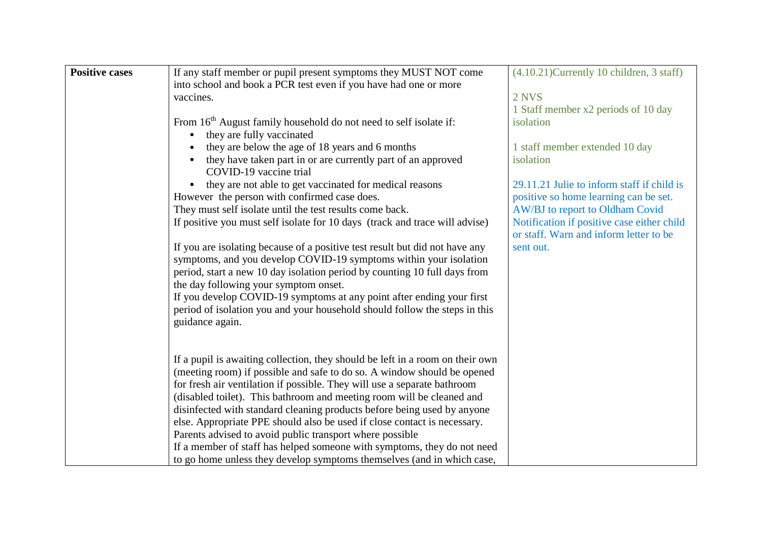| <b>Positive cases</b> | If any staff member or pupil present symptoms they MUST NOT come              | $(4.10.21)$ Currently 10 children, 3 staff) |
|-----------------------|-------------------------------------------------------------------------------|---------------------------------------------|
|                       | into school and book a PCR test even if you have had one or more              |                                             |
|                       | vaccines.                                                                     | 2 NVS                                       |
|                       |                                                                               | 1 Staff member x2 periods of 10 day         |
|                       | From 16 <sup>th</sup> August family household do not need to self isolate if: | isolation                                   |
|                       | they are fully vaccinated                                                     |                                             |
|                       | they are below the age of 18 years and 6 months                               | 1 staff member extended 10 day              |
|                       | they have taken part in or are currently part of an approved                  | isolation                                   |
|                       | COVID-19 vaccine trial                                                        |                                             |
|                       | they are not able to get vaccinated for medical reasons<br>$\bullet$          | 29.11.21 Julie to inform staff if child is  |
|                       | However the person with confirmed case does.                                  | positive so home learning can be set.       |
|                       | They must self isolate until the test results come back.                      | AW/BJ to report to Oldham Covid             |
|                       | If positive you must self isolate for 10 days (track and trace will advise)   | Notification if positive case either child  |
|                       |                                                                               | or staff. Warn and inform letter to be      |
|                       | If you are isolating because of a positive test result but did not have any   | sent out.                                   |
|                       | symptoms, and you develop COVID-19 symptoms within your isolation             |                                             |
|                       | period, start a new 10 day isolation period by counting 10 full days from     |                                             |
|                       |                                                                               |                                             |
|                       | the day following your symptom onset.                                         |                                             |
|                       | If you develop COVID-19 symptoms at any point after ending your first         |                                             |
|                       | period of isolation you and your household should follow the steps in this    |                                             |
|                       | guidance again.                                                               |                                             |
|                       |                                                                               |                                             |
|                       |                                                                               |                                             |
|                       | If a pupil is awaiting collection, they should be left in a room on their own |                                             |
|                       | (meeting room) if possible and safe to do so. A window should be opened       |                                             |
|                       | for fresh air ventilation if possible. They will use a separate bathroom      |                                             |
|                       | (disabled toilet). This bathroom and meeting room will be cleaned and         |                                             |
|                       | disinfected with standard cleaning products before being used by anyone       |                                             |
|                       | else. Appropriate PPE should also be used if close contact is necessary.      |                                             |
|                       | Parents advised to avoid public transport where possible                      |                                             |
|                       | If a member of staff has helped someone with symptoms, they do not need       |                                             |
|                       | to go home unless they develop symptoms themselves (and in which case,        |                                             |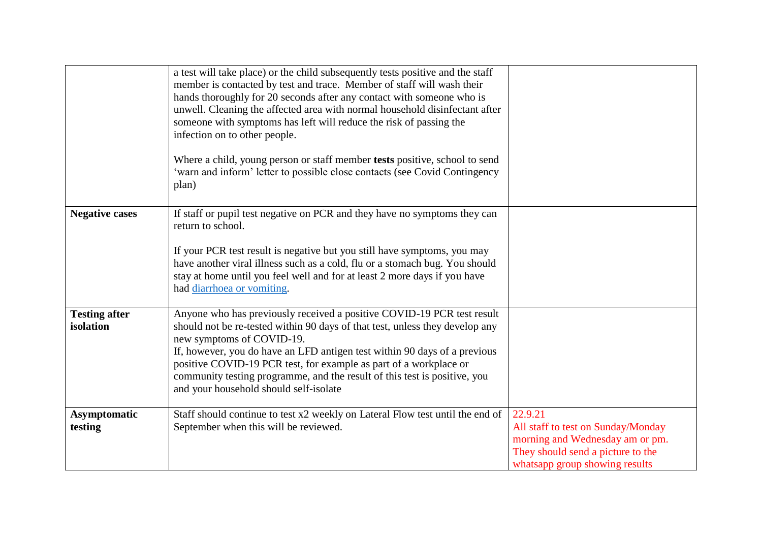|                                   | a test will take place) or the child subsequently tests positive and the staff<br>member is contacted by test and trace. Member of staff will wash their<br>hands thoroughly for 20 seconds after any contact with someone who is<br>unwell. Cleaning the affected area with normal household disinfectant after<br>someone with symptoms has left will reduce the risk of passing the<br>infection on to other people.<br>Where a child, young person or staff member tests positive, school to send<br>'warn and inform' letter to possible close contacts (see Covid Contingency<br>plan) |                                                                                                                                                         |
|-----------------------------------|----------------------------------------------------------------------------------------------------------------------------------------------------------------------------------------------------------------------------------------------------------------------------------------------------------------------------------------------------------------------------------------------------------------------------------------------------------------------------------------------------------------------------------------------------------------------------------------------|---------------------------------------------------------------------------------------------------------------------------------------------------------|
| <b>Negative cases</b>             | If staff or pupil test negative on PCR and they have no symptoms they can<br>return to school.<br>If your PCR test result is negative but you still have symptoms, you may<br>have another viral illness such as a cold, flu or a stomach bug. You should<br>stay at home until you feel well and for at least 2 more days if you have<br>had diarrhoea or vomiting.                                                                                                                                                                                                                         |                                                                                                                                                         |
| <b>Testing after</b><br>isolation | Anyone who has previously received a positive COVID-19 PCR test result<br>should not be re-tested within 90 days of that test, unless they develop any<br>new symptoms of COVID-19.<br>If, however, you do have an LFD antigen test within 90 days of a previous<br>positive COVID-19 PCR test, for example as part of a workplace or<br>community testing programme, and the result of this test is positive, you<br>and your household should self-isolate                                                                                                                                 |                                                                                                                                                         |
| <b>Asymptomatic</b><br>testing    | Staff should continue to test x2 weekly on Lateral Flow test until the end of<br>September when this will be reviewed.                                                                                                                                                                                                                                                                                                                                                                                                                                                                       | 22.9.21<br>All staff to test on Sunday/Monday<br>morning and Wednesday am or pm.<br>They should send a picture to the<br>whatsapp group showing results |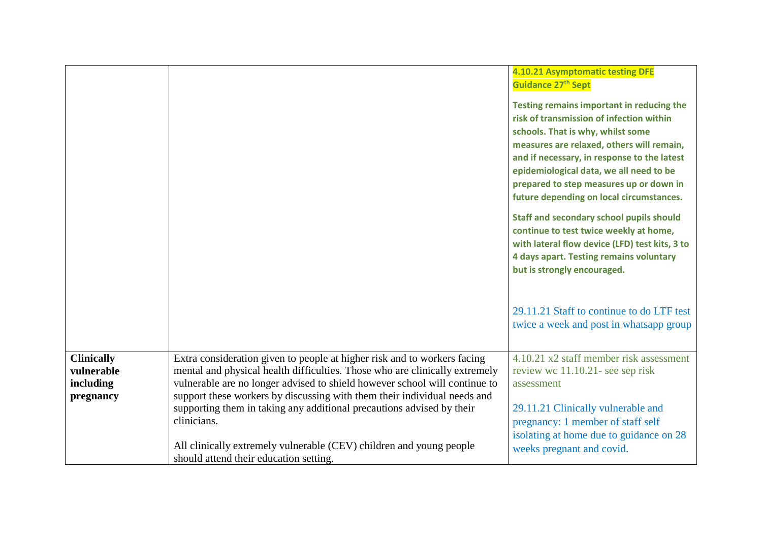|                                                           |                                                                                                                                                                                                                                                                                                                                                                                                                                                                                                                            | 4.10.21 Asymptomatic testing DFE<br>Guidance 27 <sup>th</sup> Sept<br>Testing remains important in reducing the<br>risk of transmission of infection within<br>schools. That is why, whilst some<br>measures are relaxed, others will remain,<br>and if necessary, in response to the latest<br>epidemiological data, we all need to be<br>prepared to step measures up or down in<br>future depending on local circumstances.<br><b>Staff and secondary school pupils should</b><br>continue to test twice weekly at home,<br>with lateral flow device (LFD) test kits, 3 to<br>4 days apart. Testing remains voluntary<br>but is strongly encouraged.<br>29.11.21 Staff to continue to do LTF test |
|-----------------------------------------------------------|----------------------------------------------------------------------------------------------------------------------------------------------------------------------------------------------------------------------------------------------------------------------------------------------------------------------------------------------------------------------------------------------------------------------------------------------------------------------------------------------------------------------------|------------------------------------------------------------------------------------------------------------------------------------------------------------------------------------------------------------------------------------------------------------------------------------------------------------------------------------------------------------------------------------------------------------------------------------------------------------------------------------------------------------------------------------------------------------------------------------------------------------------------------------------------------------------------------------------------------|
|                                                           |                                                                                                                                                                                                                                                                                                                                                                                                                                                                                                                            | twice a week and post in whatsapp group                                                                                                                                                                                                                                                                                                                                                                                                                                                                                                                                                                                                                                                              |
| <b>Clinically</b><br>vulnerable<br>including<br>pregnancy | Extra consideration given to people at higher risk and to workers facing<br>mental and physical health difficulties. Those who are clinically extremely<br>vulnerable are no longer advised to shield however school will continue to<br>support these workers by discussing with them their individual needs and<br>supporting them in taking any additional precautions advised by their<br>clinicians.<br>All clinically extremely vulnerable (CEV) children and young people<br>should attend their education setting. | 4.10.21 x2 staff member risk assessment<br>review wc 11.10.21- see sep risk<br>assessment<br>29.11.21 Clinically vulnerable and<br>pregnancy: 1 member of staff self<br>isolating at home due to guidance on 28<br>weeks pregnant and covid.                                                                                                                                                                                                                                                                                                                                                                                                                                                         |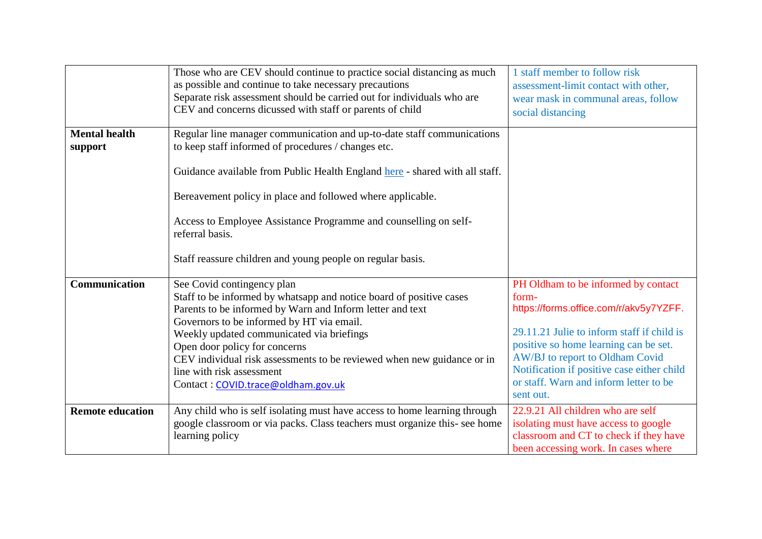|                                 | Those who are CEV should continue to practice social distancing as much<br>as possible and continue to take necessary precautions<br>Separate risk assessment should be carried out for individuals who are<br>CEV and concerns dicussed with staff or parents of child                                                                                                                                                                | 1 staff member to follow risk<br>assessment-limit contact with other,<br>wear mask in communal areas, follow<br>social distancing                                                                                                                                                                                     |
|---------------------------------|----------------------------------------------------------------------------------------------------------------------------------------------------------------------------------------------------------------------------------------------------------------------------------------------------------------------------------------------------------------------------------------------------------------------------------------|-----------------------------------------------------------------------------------------------------------------------------------------------------------------------------------------------------------------------------------------------------------------------------------------------------------------------|
| <b>Mental health</b><br>support | Regular line manager communication and up-to-date staff communications<br>to keep staff informed of procedures / changes etc.<br>Guidance available from Public Health England here - shared with all staff.<br>Bereavement policy in place and followed where applicable.<br>Access to Employee Assistance Programme and counselling on self-<br>referral basis.<br>Staff reassure children and young people on regular basis.        |                                                                                                                                                                                                                                                                                                                       |
| <b>Communication</b>            | See Covid contingency plan<br>Staff to be informed by whatsapp and notice board of positive cases<br>Parents to be informed by Warn and Inform letter and text<br>Governors to be informed by HT via email.<br>Weekly updated communicated via briefings<br>Open door policy for concerns<br>CEV individual risk assessments to be reviewed when new guidance or in<br>line with risk assessment<br>Contact: COVID.trace@oldham.gov.uk | PH Oldham to be informed by contact<br>form-<br>https://forms.office.com/r/akv5y7YZFF.<br>29.11.21 Julie to inform staff if child is<br>positive so home learning can be set.<br>AW/BJ to report to Oldham Covid<br>Notification if positive case either child<br>or staff. Warn and inform letter to be<br>sent out. |
| <b>Remote education</b>         | Any child who is self isolating must have access to home learning through<br>google classroom or via packs. Class teachers must organize this- see home<br>learning policy                                                                                                                                                                                                                                                             | 22.9.21 All children who are self<br>isolating must have access to google<br>classroom and CT to check if they have<br>been accessing work. In cases where                                                                                                                                                            |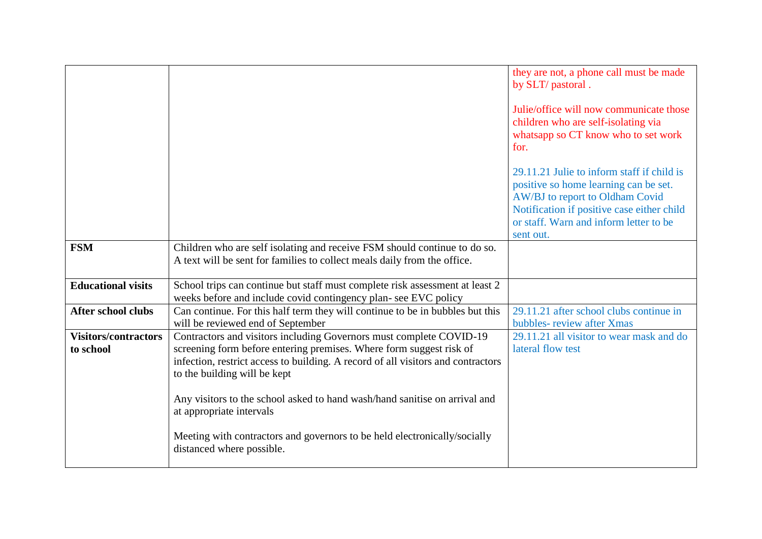|                             |                                                                                                                                                 | they are not, a phone call must be made<br>by SLT/ pastoral.<br>Julie/office will now communicate those<br>children who are self-isolating via<br>whatsapp so CT know who to set work<br>for.<br>29.11.21 Julie to inform staff if child is<br>positive so home learning can be set.<br>AW/BJ to report to Oldham Covid<br>Notification if positive case either child<br>or staff. Warn and inform letter to be<br>sent out. |
|-----------------------------|-------------------------------------------------------------------------------------------------------------------------------------------------|------------------------------------------------------------------------------------------------------------------------------------------------------------------------------------------------------------------------------------------------------------------------------------------------------------------------------------------------------------------------------------------------------------------------------|
| <b>FSM</b>                  | Children who are self isolating and receive FSM should continue to do so.                                                                       |                                                                                                                                                                                                                                                                                                                                                                                                                              |
|                             | A text will be sent for families to collect meals daily from the office.                                                                        |                                                                                                                                                                                                                                                                                                                                                                                                                              |
| <b>Educational visits</b>   |                                                                                                                                                 |                                                                                                                                                                                                                                                                                                                                                                                                                              |
|                             | School trips can continue but staff must complete risk assessment at least 2<br>weeks before and include covid contingency plan- see EVC policy |                                                                                                                                                                                                                                                                                                                                                                                                                              |
| <b>After school clubs</b>   | Can continue. For this half term they will continue to be in bubbles but this                                                                   | 29.11.21 after school clubs continue in                                                                                                                                                                                                                                                                                                                                                                                      |
|                             | will be reviewed end of September                                                                                                               | bubbles-review after Xmas                                                                                                                                                                                                                                                                                                                                                                                                    |
| <b>Visitors/contractors</b> | Contractors and visitors including Governors must complete COVID-19                                                                             | 29.11.21 all visitor to wear mask and do                                                                                                                                                                                                                                                                                                                                                                                     |
| to school                   | screening form before entering premises. Where form suggest risk of                                                                             | lateral flow test                                                                                                                                                                                                                                                                                                                                                                                                            |
|                             | infection, restrict access to building. A record of all visitors and contractors                                                                |                                                                                                                                                                                                                                                                                                                                                                                                                              |
|                             | to the building will be kept                                                                                                                    |                                                                                                                                                                                                                                                                                                                                                                                                                              |
|                             | Any visitors to the school asked to hand wash/hand sanitise on arrival and<br>at appropriate intervals                                          |                                                                                                                                                                                                                                                                                                                                                                                                                              |
|                             | Meeting with contractors and governors to be held electronically/socially<br>distanced where possible.                                          |                                                                                                                                                                                                                                                                                                                                                                                                                              |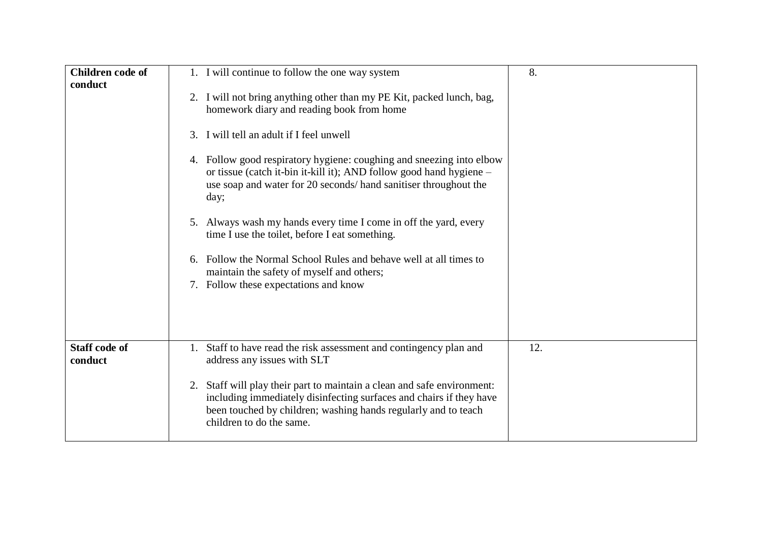| <b>Children code of</b><br>conduct | 1. I will continue to follow the one way system<br>2. I will not bring anything other than my PE Kit, packed lunch, bag,<br>homework diary and reading book from home<br>3. I will tell an adult if I feel unwell<br>4. Follow good respiratory hygiene: coughing and sneezing into elbow<br>or tissue (catch it-bin it-kill it); AND follow good hand hygiene –<br>use soap and water for 20 seconds/hand sanitiser throughout the<br>day;<br>5. Always wash my hands every time I come in off the yard, every<br>time I use the toilet, before I eat something.<br>6. Follow the Normal School Rules and behave well at all times to<br>maintain the safety of myself and others;<br>7. Follow these expectations and know | 8.  |
|------------------------------------|------------------------------------------------------------------------------------------------------------------------------------------------------------------------------------------------------------------------------------------------------------------------------------------------------------------------------------------------------------------------------------------------------------------------------------------------------------------------------------------------------------------------------------------------------------------------------------------------------------------------------------------------------------------------------------------------------------------------------|-----|
| <b>Staff code of</b><br>conduct    | Staff to have read the risk assessment and contingency plan and<br>1.<br>address any issues with SLT<br>Staff will play their part to maintain a clean and safe environment:<br>2.<br>including immediately disinfecting surfaces and chairs if they have<br>been touched by children; washing hands regularly and to teach<br>children to do the same.                                                                                                                                                                                                                                                                                                                                                                      | 12. |